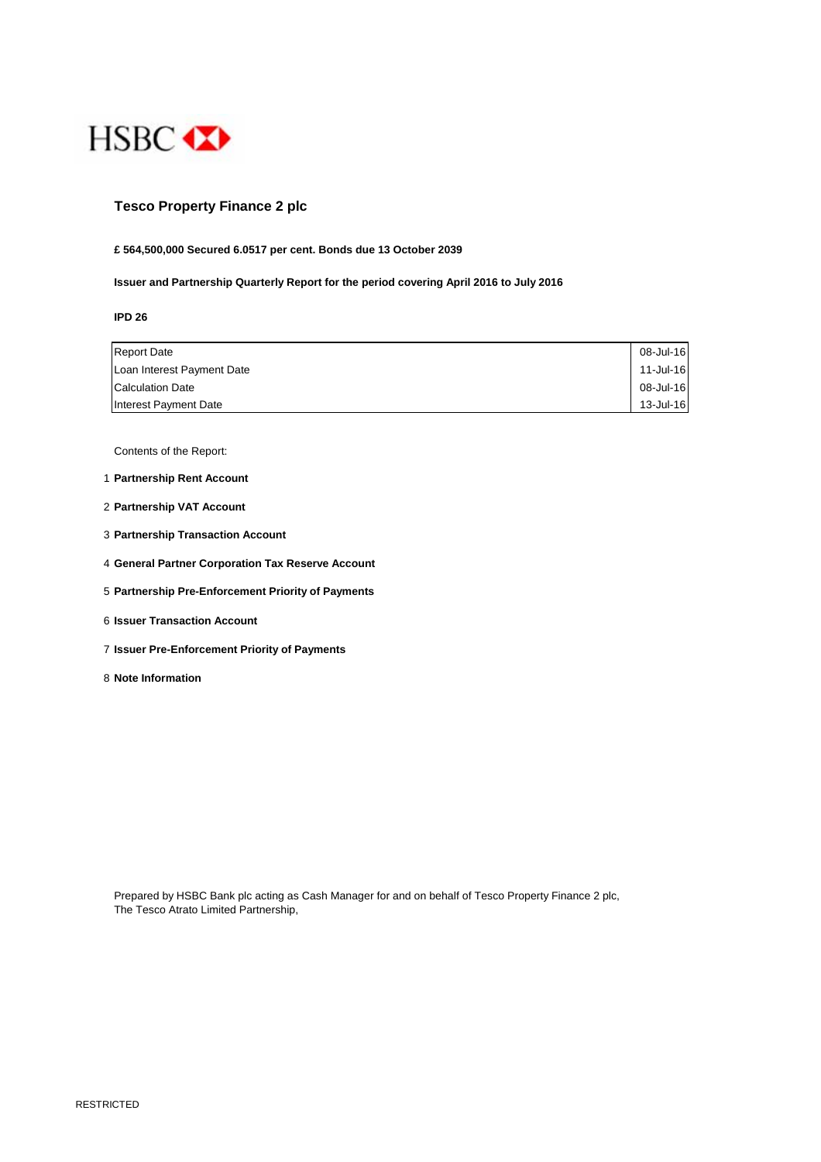

# **Tesco Property Finance 2 plc**

## **£ 564,500,000 Secured 6.0517 per cent. Bonds due 13 October 2039**

**Issuer and Partnership Quarterly Report for the period covering April 2016 to July 2016**

**IPD 26**

| <b>Report Date</b>         | 08-Jul-16 |
|----------------------------|-----------|
| Loan Interest Payment Date | 11-Jul-16 |
| <b>Calculation Date</b>    | 08-Jul-16 |
| Interest Payment Date      | 13-Jul-16 |

Contents of the Report:

- 1 **Partnership Rent Account**
- 2 **Partnership VAT Account**
- 3 **Partnership Transaction Account**
- 4 **General Partner Corporation Tax Reserve Account**
- 5 **Partnership Pre-Enforcement Priority of Payments**
- 6 **Issuer Transaction Account**
- 7 **Issuer Pre-Enforcement Priority of Payments**
- 8 **Note Information**

Prepared by HSBC Bank plc acting as Cash Manager for and on behalf of Tesco Property Finance 2 plc, The Tesco Atrato Limited Partnership,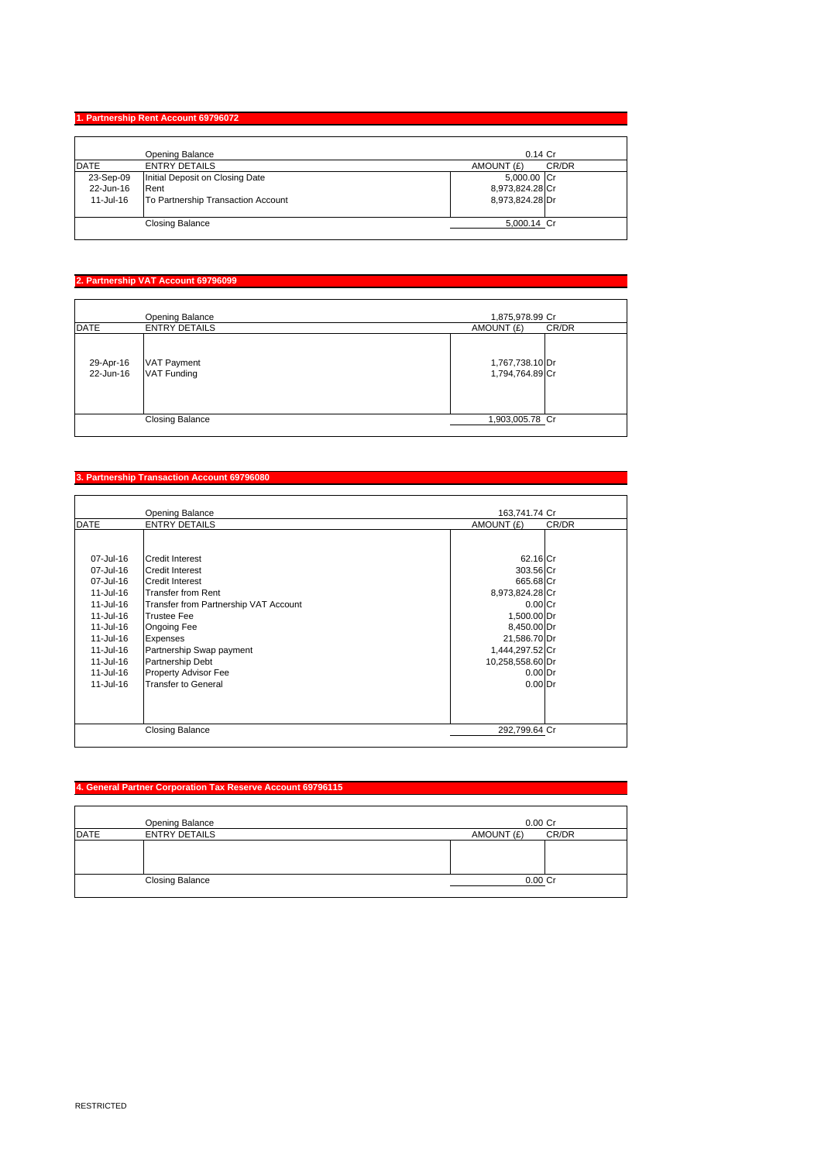## **1. Partnership Rent Account 69796072**

|             | Opening Balance                    | $0.14$ Cr           |
|-------------|------------------------------------|---------------------|
| <b>DATE</b> | <b>ENTRY DETAILS</b>               | CR/DR<br>AMOUNT (£) |
| 23-Sep-09   | Initial Deposit on Closing Date    | 5,000.00 Cr         |
| 22-Jun-16   | Rent                               | 8,973,824.28 Cr     |
| 11-Jul-16   | To Partnership Transaction Account | 8,973,824.28 Dr     |
|             | <b>Closing Balance</b>             | 5,000.14 Cr         |

## **2. Partnership VAT Account 69796099**

|                        | Opening Balance                          | 1,875,978.99 Cr                    |
|------------------------|------------------------------------------|------------------------------------|
| <b>DATE</b>            | <b>ENTRY DETAILS</b>                     | CR/DR<br>AMOUNT (£)                |
| 29-Apr-16<br>22-Jun-16 | <b>VAT Payment</b><br><b>VAT Funding</b> | 1,767,738.10 Dr<br>1,794,764.89 Cr |
|                        | <b>Closing Balance</b>                   | 1,903,005.78 Cr                    |

#### **3. Partnership Transaction Account 69796080**

|                        | Opening Balance                                  | 163,741.74 Cr         |       |
|------------------------|--------------------------------------------------|-----------------------|-------|
| <b>DATE</b>            | <b>ENTRY DETAILS</b>                             | AMOUNT (£)            | CR/DR |
| 07-Jul-16<br>07-Jul-16 | <b>Credit Interest</b><br><b>Credit Interest</b> | 62.16 Cr<br>303.56 Cr |       |
| 07-Jul-16              | <b>Credit Interest</b>                           | 665.68 Cr             |       |
| 11-Jul-16              | <b>Transfer from Rent</b>                        | 8,973,824.28 Cr       |       |
| 11-Jul-16              | Transfer from Partnership VAT Account            | $0.00C$ r             |       |
| 11-Jul-16              | <b>Trustee Fee</b>                               | 1,500.00 Dr           |       |
| 11-Jul-16              | Ongoing Fee                                      | 8,450.00 Dr           |       |
| 11-Jul-16              | <b>Expenses</b>                                  | 21,586.70 Dr          |       |
| 11-Jul-16              | Partnership Swap payment                         | 1,444,297.52 Cr       |       |
| 11-Jul-16              | Partnership Debt                                 | 10,258,558.60 Dr      |       |
| 11-Jul-16              | Property Advisor Fee                             | $0.00$ Dr             |       |
| 11-Jul-16              | <b>Transfer to General</b>                       | $0.00$ Dr             |       |
|                        | <b>Closing Balance</b>                           | 292,799.64 Cr         |       |

# **4. General Partner Corporation Tax Reserve Account 69796115**

|             | Opening Balance        | $0.00$ $Cr$         |
|-------------|------------------------|---------------------|
| <b>DATE</b> | <b>ENTRY DETAILS</b>   | CR/DR<br>AMOUNT (£) |
|             |                        |                     |
|             |                        |                     |
|             |                        |                     |
|             | <b>Closing Balance</b> | $0.00$ Cr           |
|             |                        |                     |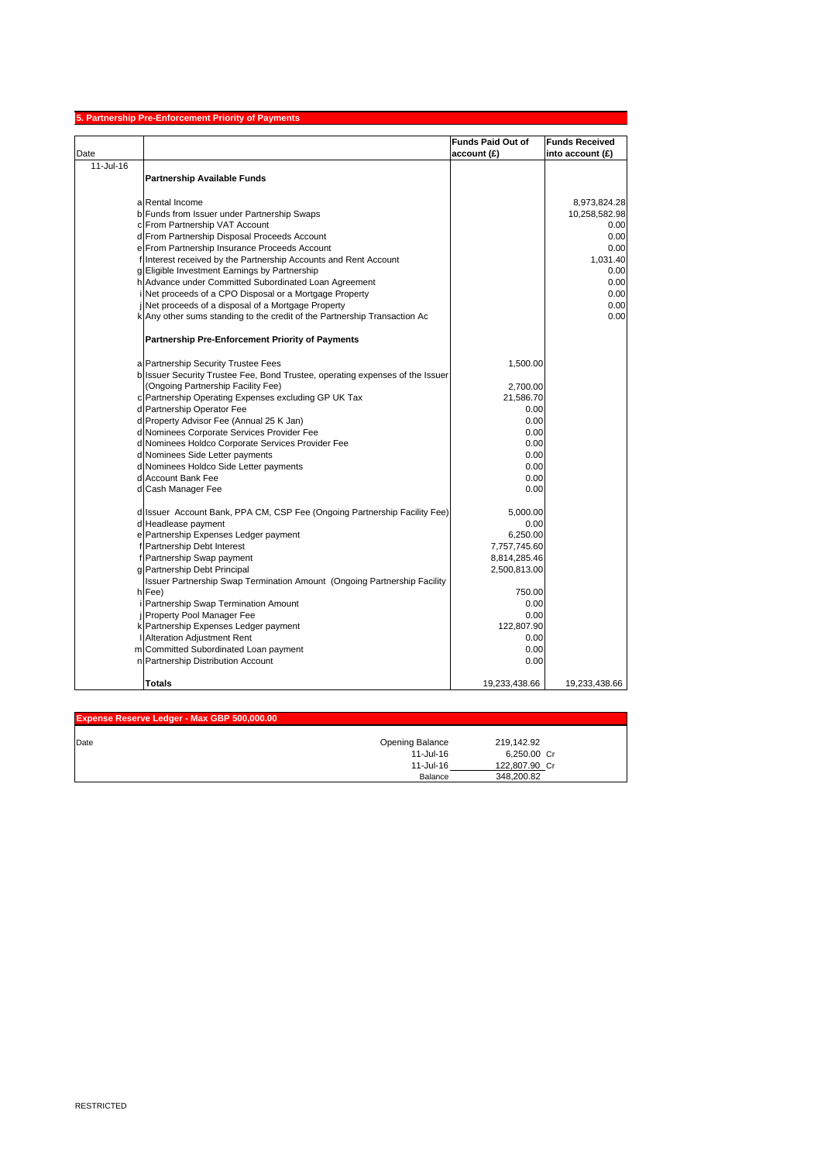|           | 5. Partnership Pre-Enforcement Priority of Payments                           |                          |                       |
|-----------|-------------------------------------------------------------------------------|--------------------------|-----------------------|
|           |                                                                               | <b>Funds Paid Out of</b> | <b>Funds Received</b> |
| Date      |                                                                               | account (£)              | into account (£)      |
| 11-Jul-16 |                                                                               |                          |                       |
|           | <b>Partnership Available Funds</b>                                            |                          |                       |
|           |                                                                               |                          |                       |
|           | a Rental Income                                                               |                          | 8,973,824.28          |
|           | b Funds from Issuer under Partnership Swaps                                   |                          | 10,258,582.98         |
|           | c From Partnership VAT Account                                                |                          | 0.00                  |
|           | d From Partnership Disposal Proceeds Account                                  |                          | 0.00                  |
|           | e From Partnership Insurance Proceeds Account                                 |                          | 0.00                  |
|           | f Interest received by the Partnership Accounts and Rent Account              |                          | 1,031.40              |
|           | g Eligible Investment Earnings by Partnership                                 |                          | 0.00                  |
|           | h Advance under Committed Subordinated Loan Agreement                         |                          | 0.00                  |
|           | i Net proceeds of a CPO Disposal or a Mortgage Property                       |                          | 0.00                  |
|           | j Net proceeds of a disposal of a Mortgage Property                           |                          | 0.00                  |
|           | k Any other sums standing to the credit of the Partnership Transaction Ac     |                          | 0.00                  |
|           |                                                                               |                          |                       |
|           | Partnership Pre-Enforcement Priority of Payments                              |                          |                       |
|           | a Partnership Security Trustee Fees                                           | 1,500.00                 |                       |
|           | b Issuer Security Trustee Fee, Bond Trustee, operating expenses of the Issuer |                          |                       |
|           | (Ongoing Partnership Facility Fee)                                            | 2,700.00                 |                       |
|           | c Partnership Operating Expenses excluding GP UK Tax                          | 21,586.70                |                       |
|           | d Partnership Operator Fee                                                    | 0.00                     |                       |
|           | d Property Advisor Fee (Annual 25 K Jan)                                      | 0.00                     |                       |
|           | d Nominees Corporate Services Provider Fee                                    | 0.00                     |                       |
|           | d Nominees Holdco Corporate Services Provider Fee                             | 0.00                     |                       |
|           | d Nominees Side Letter payments                                               | 0.00                     |                       |
|           | d Nominees Holdco Side Letter payments                                        | 0.00                     |                       |
|           | d Account Bank Fee                                                            | 0.00                     |                       |
|           | d Cash Manager Fee                                                            | 0.00                     |                       |
|           | d Issuer Account Bank, PPA CM, CSP Fee (Ongoing Partnership Facility Fee)     | 5,000.00                 |                       |
|           | d Headlease payment                                                           | 0.00                     |                       |
|           | e Partnership Expenses Ledger payment                                         | 6,250.00                 |                       |
|           | f Partnership Debt Interest                                                   | 7,757,745.60             |                       |
|           | f Partnership Swap payment                                                    | 8,814,285.46             |                       |
|           | g Partnership Debt Principal                                                  | 2,500,813.00             |                       |
|           | Issuer Partnership Swap Termination Amount (Ongoing Partnership Facility      |                          |                       |
|           | h Fee)                                                                        | 750.00                   |                       |
|           | i Partnership Swap Termination Amount                                         | 0.00                     |                       |
|           | j Property Pool Manager Fee                                                   | 0.00                     |                       |
|           | k Partnership Expenses Ledger payment                                         | 122,807.90               |                       |
|           | I Alteration Adjustment Rent                                                  | 0.00                     |                       |
|           | m Committed Subordinated Loan payment                                         | 0.00                     |                       |
|           | n Partnership Distribution Account                                            | 0.00                     |                       |
|           | <b>Totals</b>                                                                 | 19,233,438.66            | 19,233,438.66         |

| Expense Reserve Ledger - Max GBP 500,000.00 |                 |               |  |
|---------------------------------------------|-----------------|---------------|--|
| Date                                        | Opening Balance | 219,142.92    |  |
|                                             | 11-Jul-16       | 6,250.00 Cr   |  |
|                                             | 11-Jul-16       | 122,807.90 Cr |  |
|                                             | Balance         | 348.200.82    |  |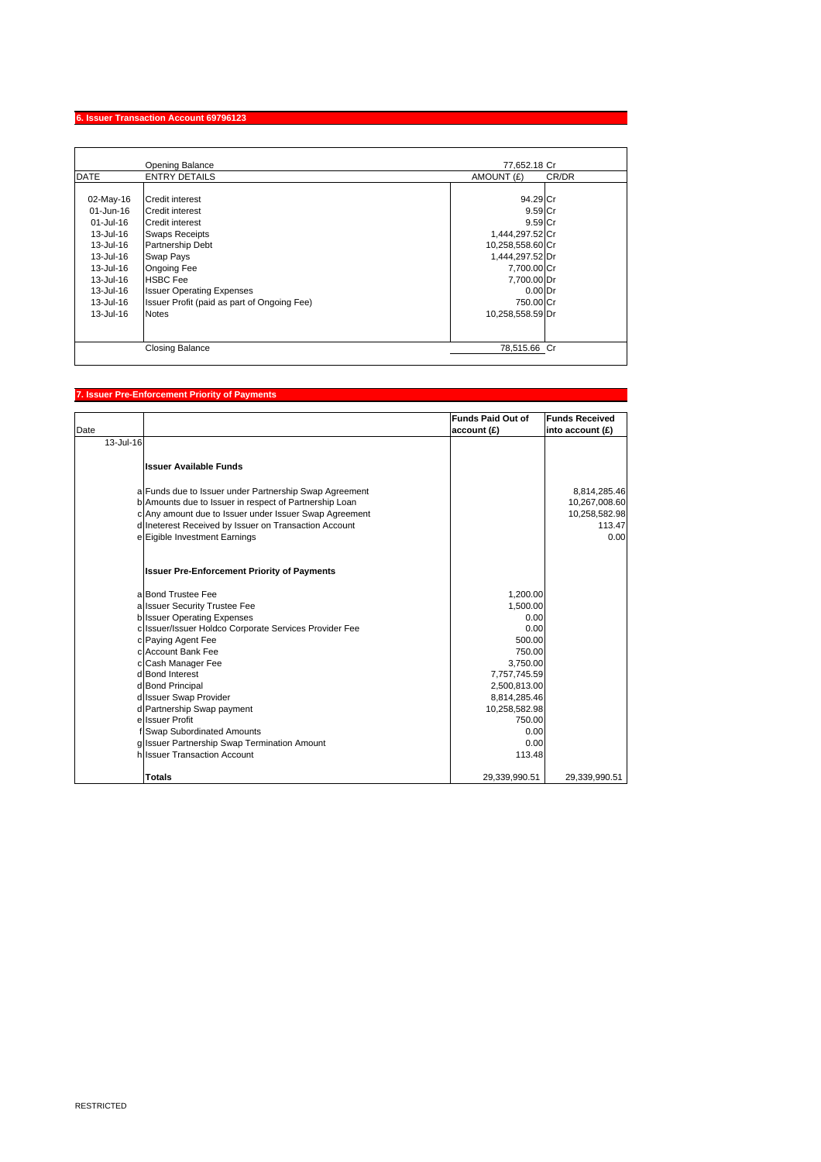## **6. Issuer Transaction Account 69796123**

|               | <b>Opening Balance</b>                      | 77.652.18 Cr        |
|---------------|---------------------------------------------|---------------------|
| <b>DATE</b>   | <b>ENTRY DETAILS</b>                        | CR/DR<br>AMOUNT (£) |
|               |                                             |                     |
| 02-May-16     | <b>Credit interest</b>                      | 94.29 Cr            |
| 01-Jun-16     | <b>Credit interest</b>                      | 9.59 Cr             |
| 01-Jul-16     | <b>Credit interest</b>                      | 9.59 Cr             |
| 13-Jul-16     | <b>Swaps Receipts</b>                       | 1,444,297.52 Cr     |
| 13-Jul-16     | <b>Partnership Debt</b>                     | 10,258,558.60 Cr    |
| 13-Jul-16     | Swap Pays                                   | 1,444,297.52 Dr     |
| 13-Jul-16     | <b>Ongoing Fee</b>                          | 7,700.00 Cr         |
| 13-Jul-16     | <b>HSBC Fee</b>                             | 7,700.00 Dr         |
| 13-Jul-16     | <b>Issuer Operating Expenses</b>            | $0.00$ Dr           |
| 13-Jul-16     | Issuer Profit (paid as part of Ongoing Fee) | 750.00 Cr           |
| $13 -$ Jul-16 | <b>Notes</b>                                | 10,258,558.59 Dr    |
|               |                                             |                     |
|               |                                             |                     |
|               | <b>Closing Balance</b>                      | 78,515.66 Cr        |

## **7. Issuer Pre-Enforcement Priority of Payments**

|           |                                                        | <b>Funds Paid Out of</b> | <b>Funds Received</b> |
|-----------|--------------------------------------------------------|--------------------------|-----------------------|
| Date      |                                                        | account (£)              | into account (£)      |
| 13-Jul-16 |                                                        |                          |                       |
|           | <b>Issuer Available Funds</b>                          |                          |                       |
|           | a Funds due to Issuer under Partnership Swap Agreement |                          | 8,814,285.46          |
|           | b Amounts due to Issuer in respect of Partnership Loan |                          | 10,267,008.60         |
|           | c Any amount due to Issuer under Issuer Swap Agreement |                          | 10,258,582.98         |
|           | d Ineterest Received by Issuer on Transaction Account  |                          | 113.47                |
|           | e Eigible Investment Earnings                          |                          | 0.00                  |
|           |                                                        |                          |                       |
|           | <b>Issuer Pre-Enforcement Priority of Payments</b>     |                          |                       |
|           | a Bond Trustee Fee                                     | 1,200.00                 |                       |
|           | a Issuer Security Trustee Fee                          | 1,500.00                 |                       |
|           | <b>b</b> Issuer Operating Expenses                     | 0.00                     |                       |
|           | c Issuer/Issuer Holdco Corporate Services Provider Fee | 0.00                     |                       |
|           | c Paying Agent Fee                                     | 500.00                   |                       |
|           | c Account Bank Fee                                     | 750.00                   |                       |
|           | c Cash Manager Fee                                     | 3,750.00                 |                       |
|           | d Bond Interest                                        | 7,757,745.59             |                       |
|           | d Bond Principal                                       | 2,500,813.00             |                       |
|           | d Issuer Swap Provider                                 | 8,814,285.46             |                       |
|           | d Partnership Swap payment                             | 10,258,582.98            |                       |
|           | e Issuer Profit                                        | 750.00                   |                       |
|           | f Swap Subordinated Amounts                            | 0.00                     |                       |
|           | g Issuer Partnership Swap Termination Amount           | 0.00                     |                       |
|           | hilssuer Transaction Account                           | 113.48                   |                       |
|           | <b>Totals</b>                                          | 29,339,990.51            | 29,339,990.51         |